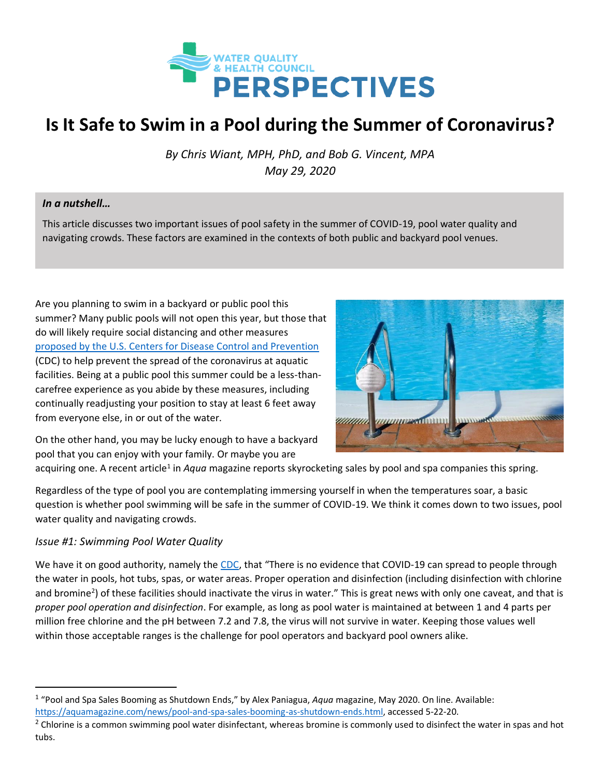

# **Is It Safe to Swim in a Pool during the Summer of Coronavirus?**

*By Chris Wiant, MPH, PhD, and Bob G. Vincent, MPA May 29, 2020*

#### *In a nutshell…*

This article discusses two important issues of pool safety in the summer of COVID-19, pool water quality and navigating crowds. These factors are examined in the contexts of both public and backyard pool venues.

Are you planning to swim in a backyard or public pool this summer? Many public pools will not open this year, but those that do will likely require social distancing and other measures [proposed by the U.S. Centers for Disease Control and Prevention](https://www.cdc.gov/coronavirus/2019-ncov/community/parks-rec/aquatic-venues.html) (CDC) to help prevent the spread of the coronavirus at aquatic facilities. Being at a public pool this summer could be a less-thancarefree experience as you abide by these measures, including continually readjusting your position to stay at least 6 feet away from everyone else, in or out of the water.



On the other hand, you may be lucky enough to have a backyard pool that you can enjoy with your family. Or maybe you are

acquiring one. A recent article<sup>1</sup> in *Aqua* magazine reports skyrocketing sales by pool and spa companies this spring.

Regardless of the type of pool you are contemplating immersing yourself in when the temperatures soar, a basic question is whether pool swimming will be safe in the summer of COVID-19. We think it comes down to two issues, pool water quality and navigating crowds.

#### *Issue #1: Swimming Pool Water Quality*

We have it on good authority, namely the [CDC](https://www.cdc.gov/coronavirus/2019-ncov/php/water.html), that "There is no evidence that COVID-19 can spread to people through the water in pools, hot tubs, spas, or water areas. Proper operation and disinfection (including disinfection with chlorine and bromine<sup>2</sup>) of these facilities should inactivate the virus in water." This is great news with only one caveat, and that is *proper pool operation and disinfection*. For example, as long as pool water is maintained at between 1 and 4 parts per million free chlorine and the pH between 7.2 and 7.8, the virus will not survive in water. Keeping those values well within those acceptable ranges is the challenge for pool operators and backyard pool owners alike.

<sup>1</sup> "Pool and Spa Sales Booming as Shutdown Ends," by Alex Paniagua, *Aqua* magazine, May 2020. On line. Available:

[https://aquamagazine.com/news/pool-and-spa-sales-booming-as-shutdown-ends.html,](https://aquamagazine.com/news/pool-and-spa-sales-booming-as-shutdown-ends.html) accessed 5-22-20.

 $2$  Chlorine is a common swimming pool water disinfectant, whereas bromine is commonly used to disinfect the water in spas and hot tubs.